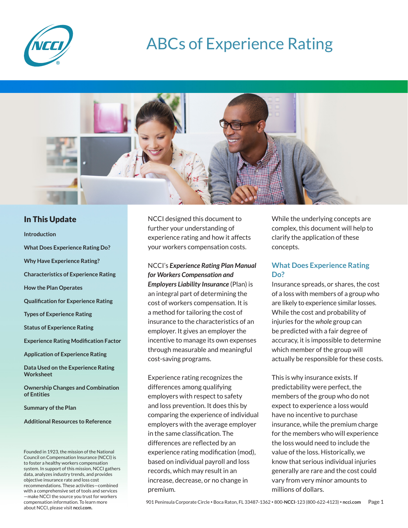

# ABCs of Experience Rating



# In This Update

**Introduction What Does Experience Rating Do? Why Have Experience Rating? Characteristics of Experience Rating How the Plan Operates Qualification for Experience Rating Types of Experience Rating Status of Experience Rating Experience Rating Modification Factor Application of Experience Rating Data Used on the Experience Rating Worksheet Ownership Changes and Combination** 

**of Entities**

**Summary of the Plan**

**Additional Resources to Reference**

Founded in 1923, the mission of the National Council on Compensation Insurance (NCCI) is to foster a healthy workers compensation system. In support of this mission, NCCI gathers data, analyzes industry trends, and provides objective insurance rate and loss cost recommendations. These activities—combined with a comprehensive set of tools and services —make NCCI the source you trust for workers compensation information. To learn more about NCCI, please visit **ncci.com.**

NCCI designed this document to further your understanding of experience rating and how it affects your workers compensation costs.

NCCI's *Experience Rating Plan Manual for Workers Compensation and Employers Liability Insurance* (Plan) is an integral part of determining the cost of workers compensation. It is a method for tailoring the cost of insurance to the characteristics of an employer. It gives an employer the incentive to manage its own expenses through measurable and meaningful cost-saving programs.

Experience rating recognizes the differences among qualifying employers with respect to safety and loss prevention. It does this by comparing the experience of individual employers with the average employer in the same classification. The differences are reflected by an experience rating modification (mod), based on individual payroll and loss records, which may result in an increase, decrease, or no change in premium.

While the underlying concepts are complex, this document will help to clarify the application of these concepts.

# **What Does Experience Rating Do?**

Insurance spreads, or shares, the cost of a loss with members of a group who are likely to experience similar losses. While the cost and probability of injuries for the *whole* group can be predicted with a fair degree of accuracy, it is impossible to determine which member of the group will actually be responsible for these costs.

This is why insurance exists. If predictability were perfect, the members of the group who do not expect to experience a loss would have no incentive to purchase insurance, while the premium charge for the members who will experience the loss would need to include the value of the loss. Historically, we know that serious individual injuries generally are rare and the cost could vary from very minor amounts to millions of dollars.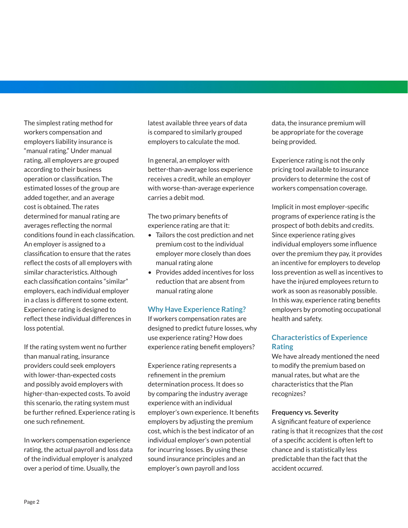The simplest rating method for workers compensation and employers liability insurance is "manual rating." Under manual rating, all employers are grouped according to their business operation or classification. The estimated losses of the group are added together, and an average cost is obtained. The rates determined for manual rating are averages reflecting the normal conditions found in each classification. An employer is assigned to a classification to ensure that the rates reflect the costs of all employers with similar characteristics. Although each classification contains "similar" employers, each individual employer in a class is different to some extent. Experience rating is designed to reflect these individual differences in loss potential.

If the rating system went no further than manual rating, insurance providers could seek employers with lower-than-expected costs and possibly avoid employers with higher-than-expected costs. To avoid this scenario, the rating system must be further refined. Experience rating is one such refinement.

In workers compensation experience rating, the actual payroll and loss data of the individual employer is analyzed over a period of time. Usually, the

latest available three years of data is compared to similarly grouped employers to calculate the mod.

In general, an employer with better-than-average loss experience receives a credit, while an employer with worse-than-average experience carries a debit mod.

The two primary benefits of experience rating are that it:

- Tailors the cost prediction and net premium cost to the individual employer more closely than does manual rating alone
- Provides added incentives for loss reduction that are absent from manual rating alone

# **Why Have Experience Rating?**

If workers compensation rates are designed to predict future losses, why use experience rating? How does experience rating benefit employers?

Experience rating represents a refinement in the premium determination process. It does so by comparing the industry average experience with an individual employer's own experience. It benefits employers by adjusting the premium cost, which is the best indicator of an individual employer's own potential for incurring losses. By using these sound insurance principles and an employer's own payroll and loss

data, the insurance premium will be appropriate for the coverage being provided.

Experience rating is not the only pricing tool available to insurance providers to determine the cost of workers compensation coverage.

Implicit in most employer-specific programs of experience rating is the prospect of both debits and credits. Since experience rating gives individual employers some influence over the premium they pay, it provides an incentive for employers to develop loss prevention as well as incentives to have the injured employees return to work as soon as reasonably possible. In this way, experience rating benefits employers by promoting occupational health and safety.

# **Characteristics of Experience Rating**

We have already mentioned the need to modify the premium based on manual rates, but what are the characteristics that the Plan recognizes?

## **Frequency vs. Severity**

A significant feature of experience rating is that it recognizes that the *cost*  of a specific accident is often left to chance and is statistically less predictable than the fact that the accident *occurred*.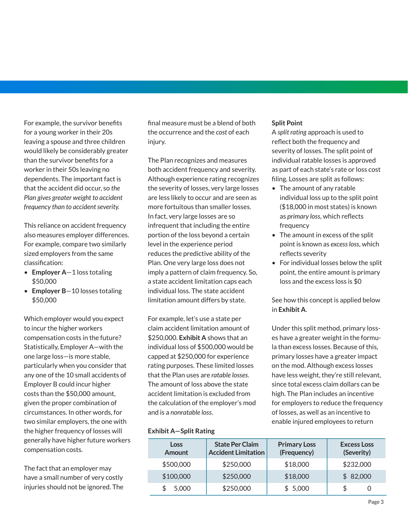For example, the survivor benefits for a young worker in their 20s leaving a spouse and three children would likely be considerably greater than the survivor benefits for a worker in their 50s leaving no dependents. The important fact is that the accident did occur, so *the Plan gives greater weight to accident frequency than to accident severity.*

This reliance on accident frequency also measures employer differences. For example, compare two similarly sized employers from the same classification:

- **Employer A**—1 loss totaling \$50,000
- **Employer B**—10 losses totaling \$50,000

Which employer would you expect to incur the higher workers compensation costs in the future? Statistically, Employer A—with the one large loss—is more stable, particularly when you consider that any one of the 10 small accidents of Employer B could incur higher costs than the \$50,000 amount, given the proper combination of circumstances. In other words, for two similar employers, the one with the higher frequency of losses will generally have higher future workers compensation costs.

The fact that an employer may have a small number of very costly injuries should not be ignored. The final measure must be a blend of both the occurrence and the *cost* of each injury.

The Plan recognizes and measures both accident frequency and severity. Although experience rating recognizes the severity of losses, very large losses are less likely to occur and are seen as more fortuitous than smaller losses. In fact, very large losses are so infrequent that including the entire portion of the loss beyond a certain level in the experience period reduces the predictive ability of the Plan. One very large loss does not imply a pattern of claim frequency. So, a state accident limitation caps each individual loss. The state accident limitation amount differs by state.

For example, let's use a state per claim accident limitation amount of \$250,000. **Exhibit A** shows that an individual loss of \$500,000 would be capped at \$250,000 for experience rating purposes. These limited losses that the Plan uses are *ratable losses*. The amount of loss above the state accident limitation is excluded from the calculation of the employer's mod and is a *nonratable loss*.

## **Exhibit A—Split Rating**

**Split Point**

A *split rating* approach is used to reflect both the frequency and severity of losses. The split point of individual ratable losses is approved as part of each state's rate or loss cost filing. Losses are split as follows:

- The amount of any ratable individual loss up to the split point (\$18,000 in most states) is known as *primary loss*, which reflects frequency
- The amount in excess of the split point is known as *excess loss*, which reflects severity
- For individual losses below the split point, the entire amount is primary loss and the excess loss is \$0

See how this concept is applied below in **Exhibit A**.

Under this split method, primary losses have a greater weight in the formula than excess losses. Because of this, primary losses have a greater impact on the mod. Although excess losses have less weight, they're still relevant, since total excess claim dollars can be high. The Plan includes an incentive for employers to reduce the frequency of losses, as well as an incentive to enable injured employees to return

| <b>Loss</b><br><b>Amount</b> | <b>State Per Claim</b><br><b>Accident Limitation</b> | <b>Primary Loss</b><br>(Frequency) | <b>Excess Loss</b><br>(Severity) |
|------------------------------|------------------------------------------------------|------------------------------------|----------------------------------|
| \$500,000                    | \$250,000                                            | \$18,000                           | \$232,000                        |
| \$100,000                    | \$250,000                                            | \$18,000                           | \$82,000                         |
| 5,000                        | \$250,000                                            | \$5,000                            | S                                |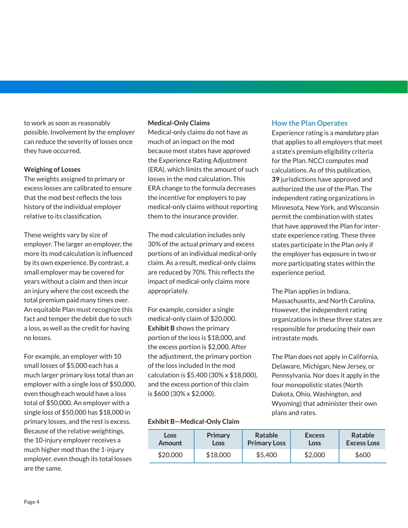to work as soon as reasonably possible. Involvement by the employer can reduce the severity of losses once they have occurred.

## **Weighing of Losses**

The weights assigned to primary or excess losses are calibrated to ensure that the mod best reflects the loss history of the individual employer relative to its classification.

These weights vary by size of employer. The larger an employer, the more its mod calculation is influenced by its own experience. By contrast, a small employer may be covered for years without a claim and then incur an injury where the cost exceeds the total premium paid many times over. An equitable Plan must recognize this fact and temper the debit due to such a loss, as well as the credit for having no losses.

For example, an employer with 10 small losses of \$5,000 each has a much larger primary loss total than an employer with a single loss of \$50,000, even though each would have a loss total of \$50,000. An employer with a single loss of \$50,000 has \$18,000 in primary losses, and the rest is excess. Because of the relative weightings, the 10-injury employer receives a much higher mod than the 1-injury employer, even though its total losses are the same.

#### **Medical-Only Claims**

Medical-only claims do not have as much of an impact on the mod because most states have approved the Experience Rating Adjustment (ERA), which limits the amount of such losses in the mod calculation. This ERA change to the formula decreases the incentive for employers to pay medical-only claims without reporting them to the insurance provider.

The mod calculation includes only 30% of the actual primary and excess portions of an individual medical-only claim. As a result, medical-only claims are reduced by 70%. This reflects the impact of medical-only claims more appropriately.

For example, consider a single medical-only claim of \$20,000. **Exhibit B** shows the primary portion of the loss is \$18,000, and the excess portion is \$2,000. After the adjustment, the primary portion of the loss included in the mod calculation is \$5,400 (30% x \$18,000), and the excess portion of this claim is \$600 (30% x \$2,000).

## **Exhibit B—Medical-Only Claim**

| <b>Loss</b> | Primary  | Ratable             | <b>Excess</b> | Ratable            |
|-------------|----------|---------------------|---------------|--------------------|
| Amount      | Loss     | <b>Primary Loss</b> | Loss          | <b>Excess Loss</b> |
| \$20,000    | \$18,000 | \$5,400             | \$2,000       | \$600              |

## **How the Plan Operates**

Experience rating is a *mandatory* plan that applies to all employers that meet a state's premium eligibility criteria for the Plan. NCCI computes mod calculations. As of this publication, **39** jurisdictions have approved and authorized the use of the Plan. The independent rating organizations in Minnesota, New York, and Wisconsin permit the combination with states that have approved the Plan for interstate experience rating. These three states participate in the Plan only if the employer has exposure in two or more participating states within the experience period.

The Plan applies in Indiana, Massachusetts, and North Carolina. However, the independent rating organizations in these three states are responsible for producing their own intrastate mods.

The Plan does not apply in California, Delaware, Michigan, New Jersey, or Pennsylvania. Nor does it apply in the four monopolistic states (North Dakota, Ohio, Washington, and Wyoming) that administer their own plans and rates.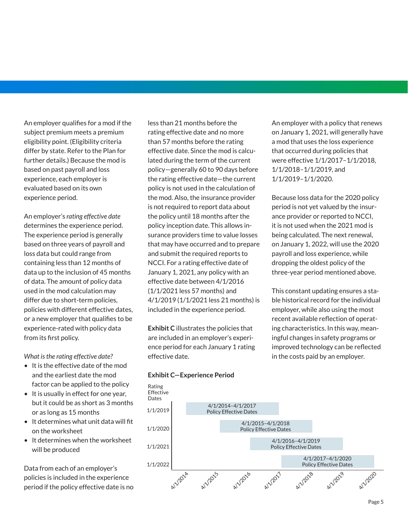An employer qualifies for a mod if the subject premium meets a premium eligibility point. (Eligibility criteria differ by state. Refer to the Plan for further details.) Because the mod is based on past payroll and loss experience, each employer is evaluated based on its own experience period.

An employer's *rating effective date*  determines the experience period. The experience period is generally based on three years of payroll and loss data but could range from containing less than 12 months of data up to the inclusion of 45 months of data. The amount of policy data used in the mod calculation may differ due to short-term policies, policies with different effective dates, or a new employer that qualifies to be experience-rated with policy data from its first policy.

*What is the rating effective date?* 

- It is the effective date of the mod and the earliest date the mod factor can be applied to the policy
- It is usually in effect for one year, but it could be as short as 3 months or as long as 15 months
- It determines what unit data will fit on the worksheet
- It determines when the worksheet will be produced

Data from each of an employer's policies is included in the experience period if the policy effective date is no less than 21 months before the rating effective date and no more than 57 months before the rating effective date. Since the mod is calculated during the term of the current policy—generally 60 to 90 days before the rating effective date—the current policy is not used in the calculation of the mod. Also, the insurance provider is not required to report data about the policy until 18 months after the policy inception date. This allows insurance providers time to value losses that may have occurred and to prepare and submit the required reports to NCCI. For a rating effective date of January 1, 2021, any policy with an effective date between 4/1/2016 (1/1/2021 less 57 months) and 4/1/2019 (1/1/2021 less 21 months) is included in the experience period.

**Exhibit C** illustrates the policies that are included in an employer's experience period for each January 1 rating effective date.

**Exhibit C—Experience Period**



An employer with a policy that renews on January 1, 2021, will generally have a mod that uses the loss experience that occurred during policies that were effective 1/1/2017–1/1/2018, 1/1/2018–1/1/2019, and 1/1/2019–1/1/2020.

Because loss data for the 2020 policy period is not yet valued by the insurance provider or reported to NCCI, it is not used when the 2021 mod is being calculated. The next renewal, on January 1, 2022, will use the 2020 payroll and loss experience, while dropping the oldest policy of the three-year period mentioned above.

This constant updating ensures a stable historical record for the individual employer, while also using the most recent available reflection of operating characteristics. In this way, meaningful changes in safety programs or improved technology can be reflected in the costs paid by an employer.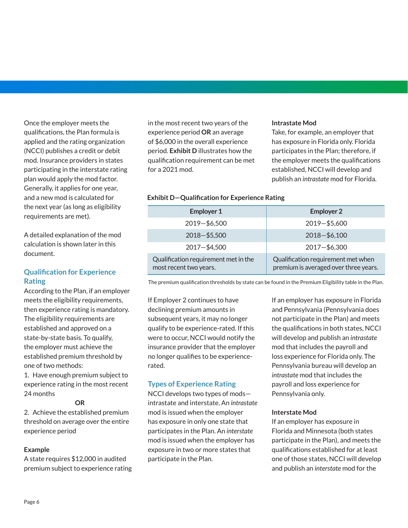qualifications, the Plan formula is applied and the rating organization (NCCI) publishes a credit or debit mod. Insurance providers in states participating in the interstate rating plan would apply the mod factor. Generally, it applies for one year, and a new mod is calculated for the next year (as long as eligibility requirements are met). A detailed explanation of the mod

Once the employer meets the

calculation is shown later in this document.

# **Qualification for Experience Rating**

According to the Plan, if an employer meets the eligibility requirements, then experience rating is mandatory. The eligibility requirements are established and approved on a state-by-state basis. To qualify, the employer must achieve the established premium threshold by one of two methods:

1. Have enough premium subject to experience rating in the most recent 24 months

#### **OR**

2. Achieve the established premium threshold on average over the entire experience period

## **Example**

A state requires \$12,000 in audited premium subject to experience rating in the most recent two years of the experience period **OR** an average of \$6,000 in the overall experience period. **Exhibit D** illustrates how the qualification requirement can be met for a 2021 mod.

#### **Intrastate Mod**

Take, for example, an employer that has exposure in Florida only. Florida participates in the Plan; therefore, if the employer meets the qualifications established, NCCI will develop and publish an *intrastate* mod for Florida.

## **Exhibit D—Qualification for Experience Rating**

| <b>Employer 1</b>                                              | <b>Employer 2</b>                                                           |
|----------------------------------------------------------------|-----------------------------------------------------------------------------|
| $2019 - $6,500$                                                | 2019-\$5,600                                                                |
| $2018 - $5,500$                                                | $2018 - $6,100$                                                             |
| $2017 - $4,500$                                                | $2017 - $6,300$                                                             |
| Qualification requirement met in the<br>most recent two years. | Qualification requirement met when<br>premium is averaged over three years. |

The premium qualification thresholds by state can be found in the Premium Eligibility table in the Plan.

If Employer 2 continues to have declining premium amounts in subsequent years, it may no longer qualify to be experience-rated. If this were to occur, NCCI would notify the insurance provider that the employer no longer qualifies to be experiencerated.

# **Types of Experience Rating**

NCCI develops two types of mods intrastate and interstate. An *intrastate* mod is issued when the employer has exposure in only one state that participates in the Plan. An *interstate*  mod is issued when the employer has exposure in two or more states that participate in the Plan.

If an employer has exposure in Florida and Pennsylvania (Pennsylvania does not participate in the Plan) and meets the qualifications in both states, NCCI will develop and publish an *intrastate* mod that includes the payroll and loss experience for Florida only. The Pennsylvania bureau will develop an *intrastate* mod that includes the payroll and loss experience for Pennsylvania only.

## **Interstate Mod**

If an employer has exposure in Florida and Minnesota (both states participate in the Plan), and meets the qualifications established for at least one of those states, NCCI will develop and publish an *interstate* mod for the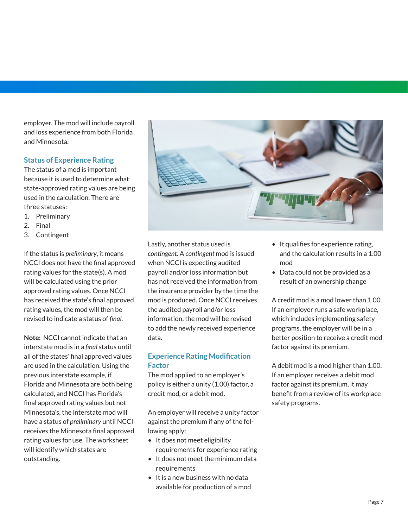employer. The mod will include payroll and loss experience from both Florida and Minnesota.

# **Status of Experience Rating**

The status of a mod is important because it is used to determine what state-approved rating values are being used in the calculation. There are three statuses:

- 1. Preliminary
- 2. Final
- 3. Contingent

If the status is *preliminary*, it means NCCI does not have the final approved rating values for the state(s). A mod will be calculated using the prior approved rating values. Once NCCI has received the state's final approved rating values, the mod will then be revised to indicate a status of *final.*

**Note:** NCCI cannot indicate that an interstate mod is in a *final* status until all of the states' final approved values are used in the calculation. Using the previous interstate example, if Florida and Minnesota are both being calculated, and NCCI has Florida's final approved rating values but not Minnesota's, the interstate mod will have a status of *preliminary* until NCCI receives the Minnesota final approved rating values for use. The worksheet will identify which states are outstanding.



Lastly, another status used is *contingent*. A *contingent* mod is issued when NCCI is expecting audited payroll and/or loss information but has not received the information from the insurance provider by the time the mod is produced. Once NCCI receives the audited payroll and/or loss information, the mod will be revised to add the newly received experience data.

# **Experience Rating Modification Factor**

The mod applied to an employer's policy is either a unity (1.00) factor, a credit mod, or a debit mod.

An employer will receive a unity factor against the premium if any of the following apply:

- It does not meet eligibility requirements for experience rating
- It does not meet the minimum data requirements
- It is a new business with no data available for production of a mod
- It qualifies for experience rating, and the calculation results in a 1.00 mod
- Data could not be provided as a result of an ownership change

A credit mod is a mod lower than 1.00. If an employer runs a safe workplace, which includes implementing safety programs, the employer will be in a better position to receive a credit mod factor against its premium.

A debit mod is a mod higher than 1.00. If an employer receives a debit mod factor against its premium, it may benefit from a review of its workplace safety programs.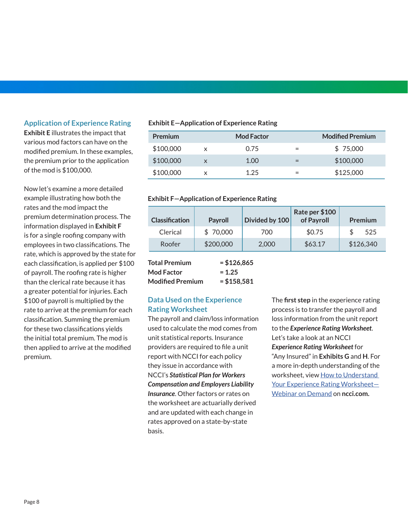## **Application of Experience Rating**

**Exhibit E** illustrates the impact that various mod factors can have on the modified premium. In these examples, the premium prior to the application of the mod is \$100,000.

Now let's examine a more detailed example illustrating how both the rates and the mod impact the premium determination process. The information displayed in **Exhibit F** is for a single roofing company with employees in two classifications. The rate, which is approved by the state for each classification, is applied per \$100 of payroll. The roofing rate is higher than the clerical rate because it has a greater potential for injuries. Each \$100 of payroll is multiplied by the rate to arrive at the premium for each classification. Summing the premium for these two classifications yields the initial total premium. The mod is then applied to arrive at the modified premium.

#### **Exhibit E—Application of Experience Rating**

| <b>Premium</b> |   | <b>Mod Factor</b> |     | <b>Modified Premium</b> |
|----------------|---|-------------------|-----|-------------------------|
| \$100,000      | x | 0.75              | $=$ | \$75,000                |
| \$100,000      | X | 1.OO              |     | \$100,000               |
| \$100,000      | x | 1.25              |     | \$125,000               |

#### **Exhibit F—Application of Experience Rating**

| <b>Classification</b> | Payroll   | Divided by 100 | Rate per \$100<br>of Payroll | Premium   |
|-----------------------|-----------|----------------|------------------------------|-----------|
| Clerical              | \$70,000  | 700            | \$0.75                       | 525       |
| Roofer                | \$200,000 | 2,000          | \$63.17                      | \$126,340 |

| <b>Total Premium</b>    | $= $126,865$ |
|-------------------------|--------------|
| <b>Mod Factor</b>       | $= 1.25$     |
| <b>Modified Premium</b> | $= $158,581$ |

# **Data Used on the Experience Rating Worksheet**

The payroll and claim/loss information used to calculate the mod comes from unit statistical reports. Insurance providers are required to file a unit report with NCCI for each policy they issue in accordance with NCCI's *Statistical Plan for Workers Compensation and Employers Liability Insurance*. Other factors or rates on the worksheet are actuarially derived and are updated with each change in rates approved on a state-by-state basis.

The **first step** in the experience rating process is to transfer the payroll and loss information from the unit report to the *Experience Rating Worksheet*. Let's take a look at an NCCI *Experience Rating Worksheet* for "Any Insured" in **Exhibits G** and **H**. For a more in-depth understanding of the worksheet, view [How to Understand](https://www.ncci.com/LearningCenter/Pages/LC_Webinar_Understand_ExpRating_Worksheet.aspx)  [Your Experience Rating Worksheet—](https://www.ncci.com/LearningCenter/Pages/LC_Webinar_Understand_ExpRating_Worksheet.aspx) [Webinar on Demand](https://www.ncci.com/LearningCenter/Pages/LC_Webinar_Understand_ExpRating_Worksheet.aspx) on **ncci.com.**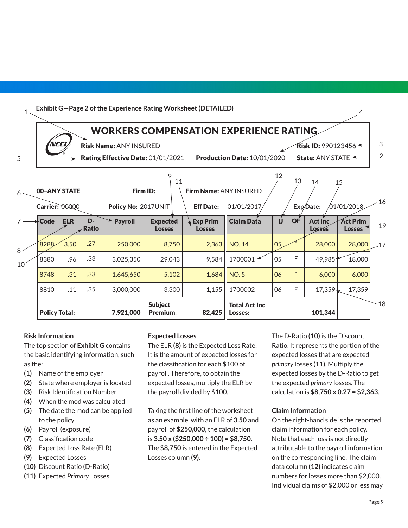

## **Risk Information**

The top section of **Exhibit G** contains the basic identifying information, such as the:

- **(1)** Name of the employer
- **(2)** State where employer is located
- **(3)** Risk Identification Number
- **(4)** When the mod was calculated
- **(5)** The date the mod can be applied to the policy
- **(6)** Payroll (exposure)
- **(7)** Classification code
- **(8)** Expected Loss Rate (ELR)
- **(9)** Expected Losses
- **(10)** Discount Ratio (D-Ratio)
- **(11)** Expected *Primary* Losses

#### **Expected Losses**

The ELR **(8)** is the Expected Loss Rate. It is the amount of expected losses for the classification for each \$100 of payroll. Therefore, to obtain the expected losses, multiply the ELR by the payroll divided by \$100.

Taking the first line of the worksheet as an example, with an ELR of **3.50** and payroll of **\$250,000**, the calculation is **3.50 x (\$250,000 ÷ 100) = \$8,750**. The **\$8,750** is entered in the Expected Losses column **(9)**.

The D-Ratio **(10)** is the Discount Ratio. It represents the portion of the expected losses that are expected *primary* losses **(11)**. Multiply the expected losses by the D-Ratio to get the expected *primary* losses. The calculation is **\$8,750 x 0.27 = \$2,363**.

#### **Claim Information**

On the right-hand side is the reported claim information for each policy. Note that each loss is not directly attributable to the payroll information on the corresponding line. The claim data column **(12)** indicates claim numbers for losses more than \$2,000. Individual claims of \$2,000 or less may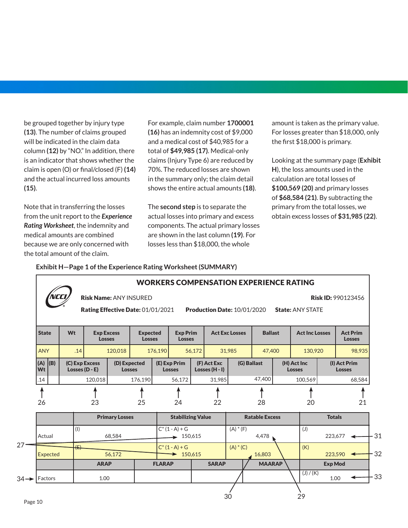be grouped together by injury type **(13)**. The number of claims grouped will be indicated in the claim data column **(12)** by "NO." In addition, there is an indicator that shows whether the claim is open (O) or final/closed (F) **(14)** and the actual incurred loss amounts **(15)**.

Note that in transferring the losses from the unit report to the *Experience Rating Worksheet*, the indemnity and medical amounts are combined because we are only concerned with the total amount of the claim.

For example, claim number **1700001 (16)** has an indemnity cost of \$9,000 and a medical cost of \$40,985 for a total of **\$49,985 (17)**. Medical-only claims (Injury Type 6) are reduced by 70%. The reduced losses are shown in the summary only; the claim detail shows the entire actual amounts **(18)**.

The **second step** is to separate the actual losses into primary and excess components. The actual primary losses are shown in the last column **(19)**. For losses less than \$18,000, the whole

amount is taken as the primary value. For losses greater than \$18,000, only the first \$18,000 is primary.

Looking at the summary page (**Exhibit H**), the loss amounts used in the calculation are total losses of **\$100,569 (20)** and primary losses of **\$68,584 (21)**. By subtracting the primary from the total losses, we obtain excess losses of **\$31,985 (22)**.

## **Exhibit H—Page 1 of the Experience Rating Worksheet (SUMMARY)**

|                          |     |  |                                    |                                    |                               | <b>Risk Name: ANY INSURED</b><br>Rating Effective Date: 01/01/2021 |                                  |                             |                                           |                                 | <b>WORKERS COMPENSATION EXPERIENCE RATING</b><br><b>Production Date: 10/01/2020</b> |                       |                                               | <b>State: ANY STATE</b>      | <b>Risk ID: 990123456</b>     |                                  |                                      |  |
|--------------------------|-----|--|------------------------------------|------------------------------------|-------------------------------|--------------------------------------------------------------------|----------------------------------|-----------------------------|-------------------------------------------|---------------------------------|-------------------------------------------------------------------------------------|-----------------------|-----------------------------------------------|------------------------------|-------------------------------|----------------------------------|--------------------------------------|--|
| <b>State</b>             | Wt  |  | <b>Exp Excess</b><br><b>Losses</b> |                                    |                               |                                                                    | <b>Expected</b><br><b>Losses</b> |                             | <b>Exp Prim</b><br><b>Losses</b>          |                                 | <b>Act Exc Losses</b>                                                               |                       | <b>Ballast</b>                                | <b>Act Inc Losses</b>        |                               | <b>Act Prim</b><br><b>Losses</b> |                                      |  |
| <b>ANY</b>               |     |  | .14                                |                                    | 120,018                       |                                                                    | 176,190                          |                             | 56,172                                    |                                 | 31,985                                                                              | 47,400                |                                               | 130,920                      |                               |                                  | 98,935                               |  |
| (A)<br><b>Wt</b>         | (B) |  |                                    | (C) Exp Excess<br>Losses $(D - E)$ | (D) Expected<br><b>Losses</b> |                                                                    | (E) Exp Prim<br><b>Losses</b>    |                             |                                           | (F) Act Exc<br>Losses $(H - I)$ | (G) Ballast                                                                         |                       |                                               | (H) Act Inc<br><b>Losses</b> | (I) Act Prim<br><b>Losses</b> |                                  |                                      |  |
| .14                      |     |  |                                    | 120,018                            |                               | 176,190                                                            |                                  | 56,172                      |                                           | 31,985                          |                                                                                     | 47,400                |                                               | 100,569                      |                               |                                  | 68,584                               |  |
| 26                       |     |  |                                    | 23                                 |                               | 25                                                                 |                                  | 24                          |                                           | 22                              |                                                                                     | 28                    |                                               | 20                           |                               |                                  | 21                                   |  |
|                          |     |  |                                    |                                    | <b>Primary Losses</b>         |                                                                    |                                  | <b>Stabilizing Value</b>    |                                           |                                 |                                                                                     | <b>Ratable Excess</b> |                                               |                              | <b>Totals</b>                 |                                  |                                      |  |
| Actual<br>Expected       |     |  |                                    | (1)<br>68,584                      |                               |                                                                    |                                  |                             | $C^*(1 - A) + G$<br>$\rightarrow$ 150,615 |                                 |                                                                                     |                       | $(A) * (F)$<br>4,478<br>$(A) * (C)$<br>16,803 |                              | (J)                           |                                  | $223,677$ $\triangleleft$<br>223,590 |  |
|                          |     |  |                                    | $\sqrt{2}$<br>56,172               |                               |                                                                    |                                  | $C^*(1 - A) + G$<br>150,615 |                                           |                                 |                                                                                     | (K)                   |                                               |                              |                               |                                  |                                      |  |
|                          |     |  |                                    | <b>ARAP</b>                        |                               |                                                                    | <b>FLARAP</b>                    |                             |                                           | <b>SARAP</b>                    |                                                                                     | <b>MAARAP</b>         |                                               |                              | <b>Exp Mod</b>                |                                  |                                      |  |
| $34 \rightarrow$ Factors |     |  |                                    | 1.00                               |                               |                                                                    |                                  |                             |                                           |                                 |                                                                                     |                       |                                               | (J) / (K)                    | 1.00                          |                                  |                                      |  |
|                          |     |  |                                    |                                    |                               |                                                                    |                                  |                             |                                           |                                 | 30                                                                                  |                       |                                               | 29                           |                               |                                  |                                      |  |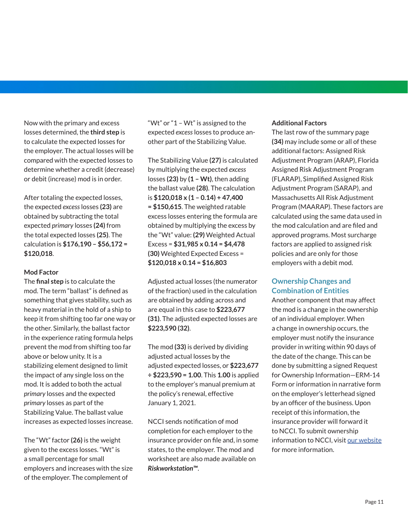Now with the primary and excess losses determined, the **third step** is to calculate the expected losses for the employer. The actual losses will be compared with the expected losses to determine whether a credit (decrease) or debit (increase) mod is in order.

After totaling the expected losses, the expected *excess* losses **(23)** are obtained by subtracting the total expected *primary* losses **(24)** from the total expected losses **(25)**. The calculation is **\$176,190 – \$56,172 = \$120,018**.

## **Mod Factor**

The **final step** is to calculate the mod. The term "ballast" is defined as something that gives stability, such as heavy material in the hold of a ship to keep it from shifting too far one way or the other. Similarly, the ballast factor in the experience rating formula helps prevent the mod from shifting too far above or below unity. It is a stabilizing element designed to limit the impact of any single loss on the mod. It is added to both the actual *primary* losses and the expected *primary* losses as part of the Stabilizing Value. The ballast value increases as expected losses increase.

The "Wt" factor **(26)** is the weight given to the excess losses. "Wt" is a small percentage for small employers and increases with the size of the employer. The complement of

"Wt" or "1 – Wt" is assigned to the expected *excess* losses to produce another part of the Stabilizing Value.

The Stabilizing Value **(27)** is calculated by multiplying the expected *excess*  losses **(23)** by **(1 – Wt)**, then adding the ballast value **(28)**. The calculation is **\$120,018 x (1 – 0.14) + 47,400 = \$150,615**. The weighted ratable excess losses entering the formula are obtained by multiplying the excess by the "Wt" value: **(29)** Weighted Actual Excess = **\$31,985 x 0.14 = \$4,478 (30)** Weighted Expected Excess = **\$120,018 x 0.14 = \$16,803**

Adjusted actual losses (the numerator of the fraction) used in the calculation are obtained by adding across and are equal in this case to **\$223,677 (31)**. The adjusted expected losses are **\$223,590 (32)**.

The mod **(33)** is derived by dividing adjusted actual losses by the adjusted expected losses, or **\$223,677 ÷ \$223,590 = 1.00**. This **1.00** is applied to the employer's manual premium at the policy's renewal, effective January 1, 2021.

NCCI sends notification of mod completion for each employer to the insurance provider on file and, in some states, to the employer. The mod and worksheet are also made available on *Riskworkstation™*.

#### **Additional Factors**

The last row of the summary page **(34)** may include some or all of these additional factors: Assigned Risk Adjustment Program (ARAP), Florida Assigned Risk Adjustment Program (FLARAP), Simplified Assigned Risk Adjustment Program (SARAP), and Massachusetts All Risk Adjustment Program (MAARAP). These factors are calculated using the same data used in the mod calculation and are filed and approved programs. Most surcharge factors are applied to assigned risk policies and are only for those employers with a debit mod.

# **Ownership Changes and Combination of Entities**

Another component that may affect the mod is a change in the ownership of an individual employer. When a change in ownership occurs, the employer must notify the insurance provider in writing within 90 days of the date of the change. This can be done by submitting a signed Request for Ownership Information—ERM-14 Form or information in narrative form on the employer's letterhead signed by an officer of the business. Upon receipt of this information, the insurance provider will forward it to NCCI. To submit ownership information to NCCI, visit [our website](https://www.ncci.com/Articles/Pages/UW_ERM14_Form.aspx) for more information.